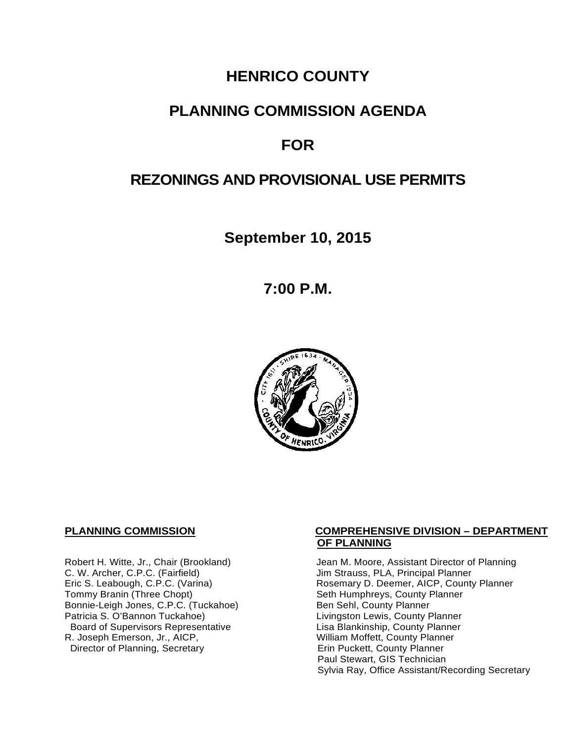# **HENRICO COUNTY**

# **PLANNING COMMISSION AGENDA**

# **FOR**

# **REZONINGS AND PROVISIONAL USE PERMITS**

**September 10, 2015**

**7:00 P.M.**



C. W. Archer, C.P.C. (Fairfield) and Summan Jim Strauss, PLA, Principal Planner<br>
Eric S. Leabough, C.P.C. (Varina) and Summan Rosemary D. Deemer, AICP, County Bonnie-Leigh Jones, C.P.C. (Tuckahoe)<br>Patricia S. O'Bannon Tuckahoe) Board of Supervisors Representative Fig. 2016. Lisa Blankinship, County Planner<br>L. Joseph Emerson, Jr., AICP, North County Planner (Nilliam Moffett, County Planner) R. Joseph Emerson, Jr., AICP, William Moffett, County Planner<br>Director of Planning, Secretary **Network County Planner** Director of Planning, Secretary

#### **PLANNING COMMISSION COMPREHENSIVE DIVISION – DEPARTMENT OF PLANNING**

Robert H. Witte, Jr., Chair (Brookland) Jean M. Moore, Assistant Director of Planning<br>C. W. Archer, C.P.C. (Fairfield) Jim Strauss, PLA, Principal Planner Eric S. Leabough, C.P.C. (Varina) <br>Tommy Branin (Three Chopt) **Reading State State Seth Humphreys, County Planner** Commy Planner Seth Humphreys, County Planner<br>Ben Sehl, County Planner Livingston Lewis, County Planner<br>Lisa Blankinship, County Planner Paul Stewart, GIS Technician Sylvia Ray, Office Assistant/Recording Secretary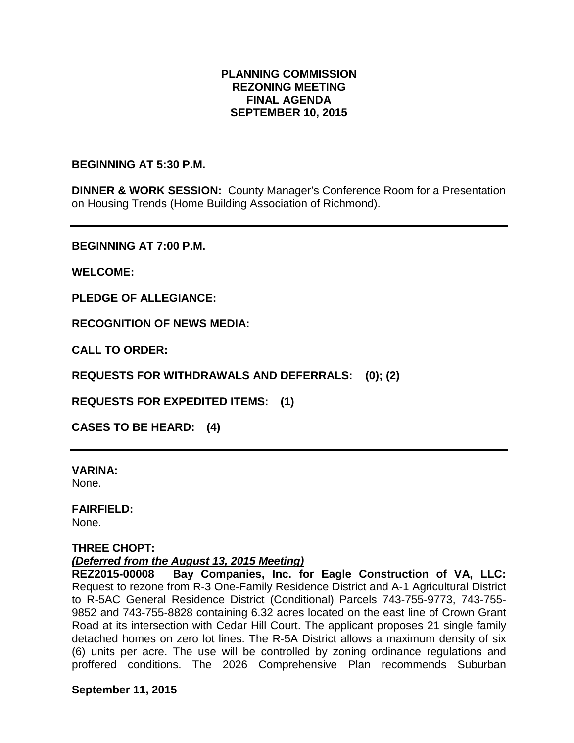### **PLANNING COMMISSION REZONING MEETING FINAL AGENDA SEPTEMBER 10, 2015**

#### **BEGINNING AT 5:30 P.M.**

**DINNER & WORK SESSION:** County Manager's Conference Room for a Presentation on Housing Trends (Home Building Association of Richmond).

**BEGINNING AT 7:00 P.M.**

**WELCOME:**

**PLEDGE OF ALLEGIANCE:**

**RECOGNITION OF NEWS MEDIA:**

**CALL TO ORDER:**

**REQUESTS FOR WITHDRAWALS AND DEFERRALS: (0); (2)**

**REQUESTS FOR EXPEDITED ITEMS: (1)**

**CASES TO BE HEARD: (4)**

**VARINA:**

None.

**FAIRFIELD:**  None.

### **THREE CHOPT:**

### *(Deferred from the August 13, 2015 Meeting)*

**REZ2015-00008 Bay Companies, Inc. for Eagle Construction of VA, LLC:**  Request to rezone from R-3 One-Family Residence District and A-1 Agricultural District to R-5AC General Residence District (Conditional) Parcels 743-755-9773, 743-755- 9852 and 743-755-8828 containing 6.32 acres located on the east line of Crown Grant Road at its intersection with Cedar Hill Court. The applicant proposes 21 single family detached homes on zero lot lines. The R-5A District allows a maximum density of six (6) units per acre. The use will be controlled by zoning ordinance regulations and proffered conditions. The 2026 Comprehensive Plan recommends Suburban

#### **September 11, 2015**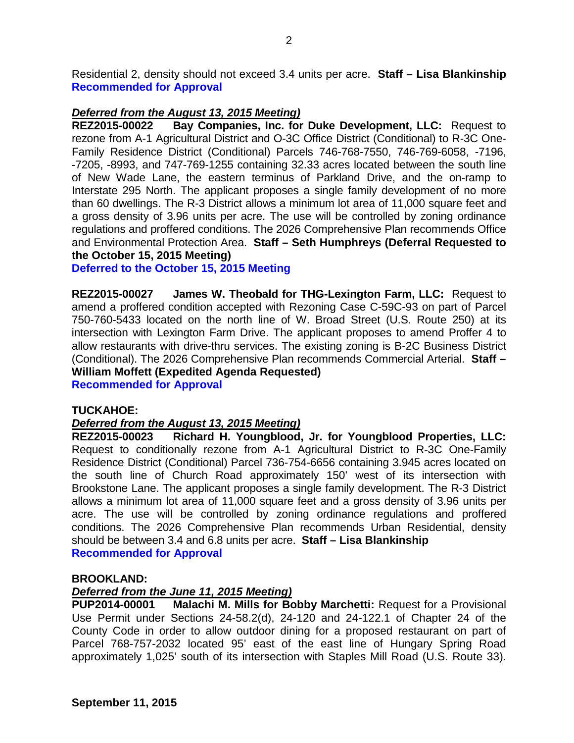Residential 2, density should not exceed 3.4 units per acre. **Staff – Lisa Blankinship Recommended for Approval**

# *Deferred from the August 13, 2015 Meeting)*

**Bay Companies, Inc. for Duke Development, LLC: Request to** rezone from A-1 Agricultural District and O-3C Office District (Conditional) to R-3C One-Family Residence District (Conditional) Parcels 746-768-7550, 746-769-6058, -7196, -7205, -8993, and 747-769-1255 containing 32.33 acres located between the south line of New Wade Lane, the eastern terminus of Parkland Drive, and the on-ramp to Interstate 295 North. The applicant proposes a single family development of no more than 60 dwellings. The R-3 District allows a minimum lot area of 11,000 square feet and a gross density of 3.96 units per acre. The use will be controlled by zoning ordinance regulations and proffered conditions. The 2026 Comprehensive Plan recommends Office and Environmental Protection Area. **Staff – Seth Humphreys (Deferral Requested to the October 15, 2015 Meeting)**

**Deferred to the October 15, 2015 Meeting**

**REZ2015-00027 James W. Theobald for THG-Lexington Farm, LLC:** Request to amend a proffered condition accepted with Rezoning Case C-59C-93 on part of Parcel 750-760-5433 located on the north line of W. Broad Street (U.S. Route 250) at its intersection with Lexington Farm Drive. The applicant proposes to amend Proffer 4 to allow restaurants with drive-thru services. The existing zoning is B-2C Business District (Conditional). The 2026 Comprehensive Plan recommends Commercial Arterial. **Staff – William Moffett (Expedited Agenda Requested)**

**Recommended for Approval**

#### **TUCKAHOE:**

#### *Deferred from the August 13, 2015 Meeting)*

**REZ2015-00023 Richard H. Youngblood, Jr. for Youngblood Properties, LLC:** Request to conditionally rezone from A-1 Agricultural District to R-3C One-Family Residence District (Conditional) Parcel 736-754-6656 containing 3.945 acres located on the south line of Church Road approximately 150' west of its intersection with Brookstone Lane. The applicant proposes a single family development. The R-3 District allows a minimum lot area of 11,000 square feet and a gross density of 3.96 units per acre. The use will be controlled by zoning ordinance regulations and proffered conditions. The 2026 Comprehensive Plan recommends Urban Residential, density should be between 3.4 and 6.8 units per acre. **Staff – Lisa Blankinship**

**Recommended for Approval**

#### **BROOKLAND:**

#### *Deferred from the June 11, 2015 Meeting)*

**PUP2014-00001 Malachi M. Mills for Bobby Marchetti:** Request for a Provisional Use Permit under Sections 24-58.2(d), 24-120 and 24-122.1 of Chapter 24 of the County Code in order to allow outdoor dining for a proposed restaurant on part of Parcel 768-757-2032 located 95' east of the east line of Hungary Spring Road approximately 1,025' south of its intersection with Staples Mill Road (U.S. Route 33).